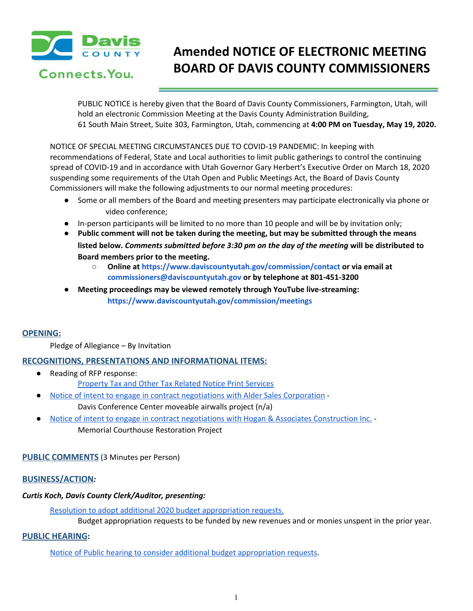

Connects. You.

# **Amended NOTICE OF ELECTRONIC MEETING BOARD OF DAVIS COUNTY COMMISSIONERS**

PUBLIC NOTICE is hereby given that the Board of Davis County Commissioners, Farmington, Utah, will hold an electronic Commission Meeting at the Davis County Administration Building, 61 South Main Street, Suite 303, Farmington, Utah, commencing at **4:00 PM on Tuesday, May 19, 2020.**

NOTICE OF SPECIAL MEETING CIRCUMSTANCES DUE TO COVID-19 PANDEMIC: In keeping with recommendations of Federal, State and Local authorities to limit public gatherings to control the continuing spread of COVID-19 and in accordance with Utah Governor Gary Herbert's Executive Order on March 18, 2020 suspending some requirements of the Utah Open and Public Meetings Act, the Board of Davis County Commissioners will make the following adjustments to our normal meeting procedures:

- Some or all members of the Board and meeting presenters may participate electronically via phone or video conference;
- In-person participants will be limited to no more than 10 people and will be by invitation only;
- **● Public comment will not be taken during the meeting, but may be submitted through the means listed below.** *Comments submitted before 3:30 pm on the day of the meeting* **will be distributed to Board members prior to the meeting.**
	- **○ Online at https://www.daviscountyutah.gov/commission/contact or via email at commissioners@daviscountyutah.gov or by telephone at 801-451-3200**
- **● Meeting proceedings may be viewed remotely through YouTube live-streaming: https://www.daviscountyutah.gov/commission/meetings**

## **OPENING:**

Pledge of Allegiance – By Invitation

### **RECOGNITIONS, PRESENTATIONS AND INFORMATIONAL ITEMS:**

- Reading of RFP response: [Property](https://drive.google.com/file/d/1mSFdxmH94MlqKITSlERFJvbWjCo7MSv2/view?usp=drivesdk) Tax and Other Tax Related Notice Print Services
- Notice of intent to engage in contract [negotiations](https://drive.google.com/file/d/1tj8FnOAY4ZY1n0aCidJh4C3cj39p_HoX/view?usp=drivesdk) with Alder Sales Corporation -Davis Conference Center moveable airwalls project (n/a)
- Notice of intent to engage in contract negotiations with Hogan & Associates [Construction](https://drive.google.com/file/d/1vMyLDK5mDsc3N398FY1zvBbACcPyNj5n/view?usp=drivesdk) Inc. -Memorial Courthouse Restoration Project

### **PUBLIC COMMENTS** (3 Minutes per Person)

### **BUSINESS/ACTION***:*

### *Curtis Koch, Davis County Clerk/Auditor, presenting:*

Resolution to adopt additional 2020 budget [appropriation](https://drive.google.com/file/d/1z5r76URnFAHepYjN7jSspHVZeuaoQupX/view?usp=drivesdk) requests.

Budget appropriation requests to be funded by new revenues and or monies unspent in the prior year.

### **PUBLIC HEARING:**

Notice of Public hearing to consider additional budget [appropriation](https://drive.google.com/file/d/1EqTmdHrVU-tZg-3OVpNMrLPJeA-9Q6nn/view?usp=drivesdk) requests.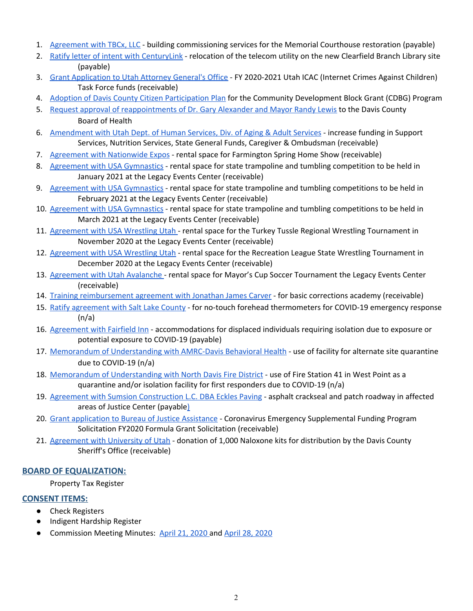- 1. [Agreement](https://drive.google.com/file/d/1zN6cs98-e1SIo1KCqYBl1xNDQMLue2ER/view?usp=drivesdk) with TBCx, LLC building commissioning services for the Memorial Courthouse restoration (payable)
- 2. Ratify letter of intent with [CenturyLink](https://drive.google.com/file/d/1dn-nurAAgTD_TiTWoKkjq3cNSsSTok49/view?usp=drivesdk) relocation of the telecom utility on the new Clearfield Branch Library sit[e](https://drive.google.com/file/d/1dn-nurAAgTD_TiTWoKkjq3cNSsSTok49/view?usp=drivesdk) (payable)
- 3. Grant [Application](https://drive.google.com/file/d/1iTKEj4ATAw01Sxm6IFbq8GM5rV5dgHuW/view?usp=drivesdk) to Utah Attorney General's Office FY 2020-2021 Utah ICAC (Internet Crimes Against Children) Task Force funds (receivable)
- 4. Adoption of Davis County Citizen [Participation](https://drive.google.com/file/d/10sicnCWJgZVdOJ_zXfaqEQ87MYCTObvA/view?usp=drivesdk) Plan for the Co[m](https://drive.google.com/file/d/10sicnCWJgZVdOJ_zXfaqEQ87MYCTObvA/view?usp=drivesdk)munity Development Block Grant (CDBG) Program
- 5. Request approval of [reappointments](https://drive.google.com/file/d/1WmQ5wTnU3U1ZzZg31_C4jLOj8k8dl6Nv/view?usp=drivesdk) of Dr. Gary Alexander and Mayor Randy Lewis to the Davis Count[y](https://drive.google.com/file/d/1WmQ5wTnU3U1ZzZg31_C4jLOj8k8dl6Nv/view?usp=drivesdk) Board of Health
- 6. [Amendment](https://drive.google.com/file/d/1edFMEm7jfpag2v5EeD42kamw5AAyHN44/view?usp=drivesdk) with Utah Dept. of Human Services, Div. of Aging & Adult Services increase funding in Support Services, Nutrition Services, State General Funds, Caregiver & Ombudsman (receivable)
- 7. Agreement with [Nationwide](https://drive.google.com/file/d/1KU_bUaKfx0hMzZrPyRdpM8MHmvG-fdId/view?usp=drivesdk) Expos rental space for Farmington Spring Home Show (receivable)
- 8. Agreement with USA [Gymnastics](https://drive.google.com/file/d/13ZxM3y_qNl9x1sKpUTxXXpP-Fsz2z7Uu/view?usp=drivesdk) rental space for state trampoline and tumbling competition to be held in January 2021 at the Legacy Events Center (receivable)
- 9. Agreement with USA [Gymnastics](https://drive.google.com/file/d/1JsU3d4ftvHHnQErlv09mGUiVEmPqxTqO/view?usp=drivesdk) rental space for state trampoline and tumbling competitions to be held in February 2021 at the Legacy Events Center (receivable)
- 10. Agreement with USA [Gymnastics](https://drive.google.com/file/d/10nDqBcy7zYlD8fx1ax5TGMv32V3ORP49/view?usp=drivesdk) rental space for state trampoline and tumbling competitions to be held in March 2021 at the Legacy Events Center (receivable)
- 11. [Agreement](https://drive.google.com/file/d/1G07f6zYcOzeXUVYRIL8TisQGMn6BhLlu/view?usp=drivesdk) with USA Wrestling Utah rental space for the Turkey Tussle Regional Wrestling Tournament in November 2020 at the Legacy Events Center (receivable)
- 12. [Agreement](https://drive.google.com/file/d/1bdTZRg28oGN--INTXuLFzbPhXkH6UTlj/view?usp=drivesdk) with USA Wrestling Utah rental space for the Recreation League State Wrestling Tournament in December 2020 at the Legacy Events Center (receivable)
- 13. [Agreement](https://drive.google.com/file/d/1H8kJSbLXVxirMxMNo9IT4h_yFBqIoH1n/view?usp=drivesdk) with Utah Avalanche rental space for Mayor's Cup Soccer Tournament the Legacy Events Center (receivable)
- 14. Training [reimbursement](https://drive.google.com/file/d/1z4RmKlTovewEnCkImtQQaq8Oo0DRqM6A/view?usp=drivesdk) agreement with Jonathan James Carver for basic corrections academy (receivable)
- 15. Ratify [agreement](https://drive.google.com/file/d/1-azTPKdZ0hvOuIIW6TKwjfBkNUa6FUvB/view?usp=drivesdk) with Salt Lake County for no-touch forehead thermometers for COVID-19 emergency response  $(n/a)$
- 16. [Agreement](https://drive.google.com/file/d/1ZIgtuP8B1kPf5gSq9jzrTR16ArcmCUGs/view?usp=drivesdk) with Fairfield Inn accommodations for displaced individuals requiring isolation due to exposure or potential exposure to COVID-19 (payable)
- 17. Memorandum of [Understanding](https://drive.google.com/file/d/1DeAZHwgHu6rqUirYTkgS4T315hEuEGb9/view?usp=drivesdk) with AMRC-Davis Behavioral Health use of facility for alternate site quarantine due to COVID-19 (n/a)
- 18. Memorandum of [Understanding](https://drive.google.com/file/d/1ntDigoN_tMY64GPTCqd4DhGd2TIJUFwu/view?usp=drivesdk) with North Davis Fire District use of Fire Station 41 in West Point as a quarantine and/or isolation facility for first responders due to COVID-19 (n/a)
- 19. Agreement with Sumsion [Construction](https://drive.google.com/file/d/18fm7Q6VnF7gdvr_RsbraNq2QrpYcX42S/view?usp=drivesdk) L.C. DBA Eckles Paving asphalt crackseal and patch roadway in affecte[d](https://drive.google.com/file/d/18fm7Q6VnF7gdvr_RsbraNq2QrpYcX42S/view?usp=drivesdk) areas of Justice Center (payabl[e\)](https://drive.google.com/file/d/18fm7Q6VnF7gdvr_RsbraNq2QrpYcX42S/view?usp=drivesdk)
- 20. Grant [application](https://drive.google.com/file/d/1cXUa0zCf_fhHy10rPtLNuuawBUb4leVg/view?usp=drivesdk) to Bureau of Justice Assistance Coronavirus Emergency Supplemental Funding Program Solicitation FY2020 Formula Grant Solicitation (receivable)
- 21. [Agreement](https://drive.google.com/file/d/17wkgWoKK28t3OXm28BidyUiQ3fYecQNE/view?usp=drivesdk) with University of Utah donation of 1,000 Naloxone kits for distribution by the Davis County Sheriff's Office (receivable[\)](https://drive.google.com/file/d/17wkgWoKK28t3OXm28BidyUiQ3fYecQNE/view?usp=drivesdk)

### **BOARD OF EQUALIZATION:**

Property Tax Register

### **CONSENT ITEMS:**

- Check Registers
- Indigent Hardship Register
- Commission Meeting Minutes: April 21, [2020](https://drive.google.com/file/d/1oXhhI1oMBlOf_A8srGz3hcaDIc1wHQFo/view?usp=drivesdk) and April 28, [2020](https://drive.google.com/file/d/1M3Sd4ydC6I1gxeVjojJkz53nvaq5CDDc/view?usp=drivesdk)